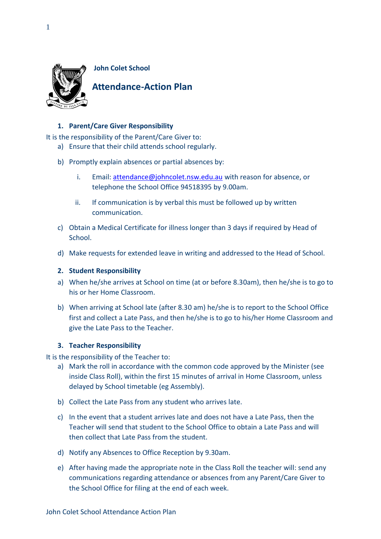

# **1. Parent/Care Giver Responsibility**

It is the responsibility of the Parent/Care Giver to:

- a) Ensure that their child attends school regularly.
- b) Promptly explain absences or partial absences by:
	- i. Email: [attendance@johncolet.nsw.edu.au](mailto:attendance@johncolet.nsw.edu.au) with reason for absence, or telephone the School Office 94518395 by 9.00am.
	- ii. If communication is by verbal this must be followed up by written communication.
- c) Obtain a Medical Certificate for illness longer than 3 days if required by Head of School.
- d) Make requests for extended leave in writing and addressed to the Head of School.

#### **2. Student Responsibility**

- a) When he/she arrives at School on time (at or before 8.30am), then he/she is to go to his or her Home Classroom.
- b) When arriving at School late (after 8.30 am) he/she is to report to the School Office first and collect a Late Pass, and then he/she is to go to his/her Home Classroom and give the Late Pass to the Teacher.

## **3. Teacher Responsibility**

It is the responsibility of the Teacher to:

- a) Mark the roll in accordance with the common code approved by the Minister (see inside Class Roll), within the first 15 minutes of arrival in Home Classroom, unless delayed by School timetable (eg Assembly).
- b) Collect the Late Pass from any student who arrives late.
- c) In the event that a student arrives late and does not have a Late Pass, then the Teacher will send that student to the School Office to obtain a Late Pass and will then collect that Late Pass from the student.
- d) Notify any Absences to Office Reception by 9.30am.
- e) After having made the appropriate note in the Class Roll the teacher will: send any communications regarding attendance or absences from any Parent/Care Giver to the School Office for filing at the end of each week.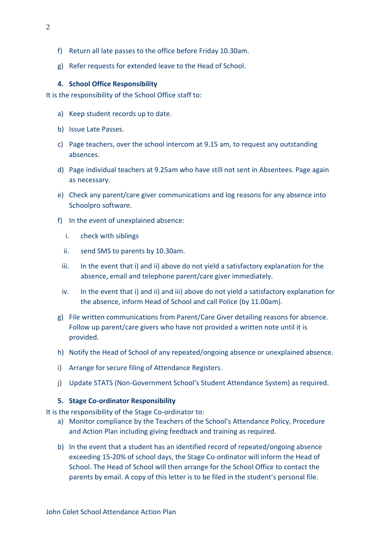- f) Return all late passes to the office before Friday 10.30am.
- g) Refer requests for extended leave to the Head of School.

## **4. School Office Responsibility**

It is the responsibility of the School Office staff to:

- a) Keep student records up to date.
- b) Issue Late Passes.
- c) Page teachers, over the school intercom at 9.15 am, to request any outstanding absences.
- d) Page individual teachers at 9.25am who have still not sent in Absentees. Page again as necessary.
- e) Check any parent/care giver communications and log reasons for any absence into Schoolpro software.
- f) In the event of unexplained absence:
	- i. check with siblings
	- ii. send SMS to parents by 10.30am.
	- iii. In the event that i) and ii) above do not yield a satisfactory explanation for the absence, email and telephone parent/care giver immediately.
	- iv. In the event that i) and ii) and iii) above do not yield a satisfactory explanation for the absence, inform Head of School and call Police (by 11.00am).
- g) File written communications from Parent/Care Giver detailing reasons for absence. Follow up parent/care givers who have not provided a written note until it is provided.
- h) Notify the Head of School of any repeated/ongoing absence or unexplained absence.
- i) Arrange for secure filing of Attendance Registers.
- j) Update STATS (Non-Government School's Student Attendance System) as required.

## **5. Stage Co-ordinator Responsibility**

It is the responsibility of the Stage Co-ordinator to:

- a) Monitor compliance by the Teachers of the School's Attendance Policy, Procedure and Action Plan including giving feedback and training as required.
- b) In the event that a student has an identified record of repeated/ongoing absence exceeding 15-20% of school days, the Stage Co-ordinator will inform the Head of School. The Head of School will then arrange for the School Office to contact the parents by email. A copy of this letter is to be filed in the student's personal file.